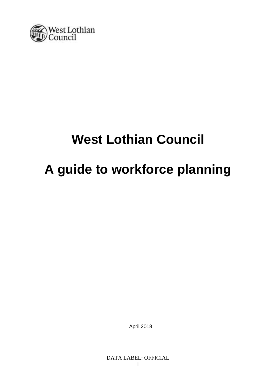

# **West Lothian Council**

# **A guide to workforce planning**

April 2018

DATA LABEL: OFFICIAL 1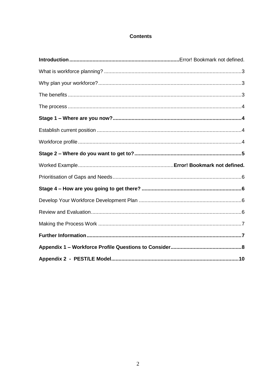### **Contents**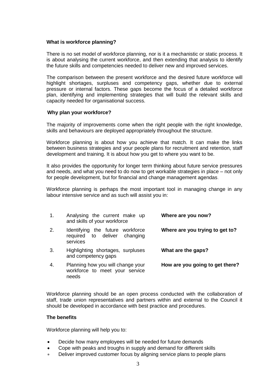#### <span id="page-2-0"></span>**What is workforce planning?**

There is no set model of workforce planning, nor is it a mechanistic or static process. It is about analysing the current workforce, and then extending that analysis to identify the future skills and competencies needed to deliver new and improved services.

The comparison between the present workforce and the desired future workforce will highlight shortages, surpluses and competency gaps, whether due to external pressure or internal factors. These gaps become the focus of a detailed workforce plan, identifying and implementing strategies that will build the relevant skills and capacity needed for organisational success.

#### <span id="page-2-1"></span>**Why plan your workforce?**

The majority of improvements come when the right people with the right knowledge, skills and behaviours are deployed appropriately throughout the structure.

Workforce planning is about how you achieve that match. It can make the links between business strategies and your people plans for recruitment and retention, staff development and training. It is about how you get to where you want to be.

It also provides the opportunity for longer term thinking about future service pressures and needs, and what you need to do now to get workable strategies in place – not only for people development, but for financial and change management agendas.

Workforce planning is perhaps the most important tool in managing change in any labour intensive service and as such will assist you in:

| 1. | Analysing the current make up<br>and skills of your workforce                | Where are you now?              |
|----|------------------------------------------------------------------------------|---------------------------------|
| 2. | Identifying the future workforce<br>required to deliver changing<br>services | Where are you trying to get to? |
| 3. | Highlighting shortages, surpluses<br>and competency gaps                     | What are the gaps?              |
| 4. | Planning how you will change your<br>workforce to meet your service<br>needs | How are you going to get there? |

Workforce planning should be an open process conducted with the collaboration of staff, trade union representatives and partners within and external to the Council it should be developed in accordance with best practice and procedures.

#### <span id="page-2-2"></span>**The benefits**

Workforce planning will help you to:

- Decide how many employees will be needed for future demands
- Cope with peaks and troughs in supply and demand for different skills
- Deliver improved customer focus by aligning service plans to people plans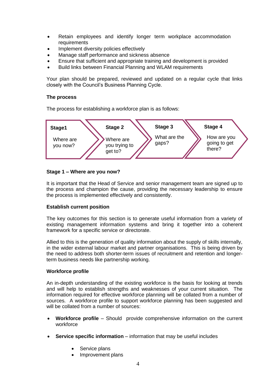- Retain employees and identify longer term workplace accommodation requirements
- Implement diversity policies effectively
- Manage staff performance and sickness absence
- Ensure that sufficient and appropriate training and development is provided
- Build links between Financial Planning and WLAM requirements

Your plan should be prepared, reviewed and updated on a regular cycle that links closely with the Council's Business Planning Cycle.

#### <span id="page-3-0"></span>**The process**

The process for establishing a workforce plan is as follows:



#### <span id="page-3-1"></span>**Stage 1 – Where are you now?**

It is important that the Head of Service and senior management team are signed up to the process and champion the cause, providing the necessary leadership to ensure the process is implemented effectively and consistently.

#### <span id="page-3-2"></span>**Establish current position**

The key outcomes for this section is to generate useful information from a variety of existing management information systems and bring it together into a coherent framework for a specific service or directorate.

Allied to this is the generation of quality information about the supply of skills internally, in the wider external labour market and partner organisations. This is being driven by the need to address both shorter-term issues of recruitment and retention and longerterm business needs like partnership working.

#### <span id="page-3-3"></span>**Workforce profile**

An in-depth understanding of the existing workforce is the basis for looking at trends and will help to establish strengths and weaknesses of your current situation. The information required for effective workforce planning will be collated from a number of sources. A workforce profile to support workforce planning has been suggested and will be collated from a number of sources:

- **Workforce profile** Should provide comprehensive information on the current workforce
- **Service specific information** information that may be useful includes
	- Service plans
	- Improvement plans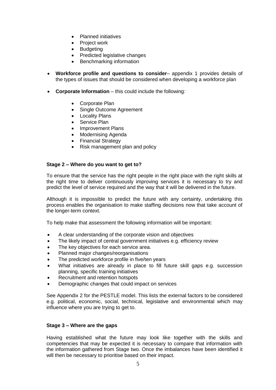- Planned initiatives
- Project work
- Budgeting
- Predicted legislative changes
- Benchmarking information
- **Workforce profile and questions to consider** appendix 1 provides details of the types of issues that should be considered when developing a workforce plan
- Corporate Information this could include the following:
	- Corporate Plan
	- Single Outcome Agreement
	- Locality Plans
	- Service Plan
	- Improvement Plans
	- Modernising Agenda
	- Financial Strategy
	- Risk management plan and policy

#### <span id="page-4-0"></span>**Stage 2 – Where do you want to get to?**

To ensure that the service has the right people in the right place with the right skills at the right time to deliver continuously improving services it is necessary to try and predict the level of service required and the way that it will be delivered in the future.

Although it is impossible to predict the future with any certainty, undertaking this process enables the organisation to make staffing decisions now that take account of the longer-term context.

To help make that assessment the following information will be important:

- A clear understanding of the corporate vision and objectives
- The likely impact of central government initiatives e.g. efficiency review
- The key objectives for each service area.
- Planned major changes/reorganisations
- The predicted workforce profile in five/ten years
- What initiatives are already in place to fill future skill gaps e.g. succession planning, specific training initiatives
- Recruitment and retention hotspots
- Demographic changes that could impact on services

See Appendix 2 for the PESTLE model. This lists the external factors to be considered e.g. political, economic, social, technical, legislative and environmental which may influence where you are trying to get to.

#### **Stage 3 – Where are the gaps**

Having established what the future may look like together with the skills and competencies that may be expected it is necessary to compare that information with the information gathered from Stage two. Once the imbalances have been identified it will then be necessary to prioritise based on their impact.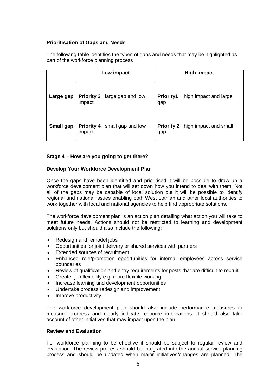#### <span id="page-5-0"></span>**Prioritisation of Gaps and Needs**

The following table identifies the types of gaps and needs that may be highlighted as part of the workforce planning process

|                  |                             | Low impact        |                         | <b>High impact</b>                      |
|------------------|-----------------------------|-------------------|-------------------------|-----------------------------------------|
| Large gap        | <b>Priority 3</b><br>impact | large gap and low | <b>Priority1</b><br>gap | high impact and large                   |
| <b>Small gap</b> | <b>Priority 4</b><br>impact | small gap and low | gap                     | <b>Priority 2</b> high impact and small |

### <span id="page-5-1"></span>**Stage 4 – How are you going to get there?**

#### <span id="page-5-2"></span>**Develop Your Workforce Development Plan**

Once the gaps have been identified and prioritised it will be possible to draw up a workforce development plan that will set down how you intend to deal with them. Not all of the gaps may be capable of local solution but it will be possible to identify regional and national issues enabling both West Lothian and other local authorities to work together with local and national agencies to help find appropriate solutions.

The workforce development plan is an action plan detailing what action you will take to meet future needs. Actions should not be restricted to learning and development solutions only but should also include the following:

- Redesign and remodel jobs
- Opportunities for joint delivery or shared services with partners
- Extended sources of recruitment
- Enhanced role/promotion opportunities for internal employees across service boundaries
- Review of qualification and entry requirements for posts that are difficult to recruit
- Greater job flexibility e.g. more flexible working
- Increase learning and development opportunities
- Undertake process redesign and improvement
- Improve productivity

The workforce development plan should also include performance measures to measure progress and clearly indicate resource implications. It should also take account of other initiatives that may impact upon the plan.

#### <span id="page-5-3"></span>**Review and Evaluation**

For workforce planning to be effective it should be subject to regular review and evaluation. The review process should be integrated into the annual service planning process and should be updated when major initiatives/changes are planned. The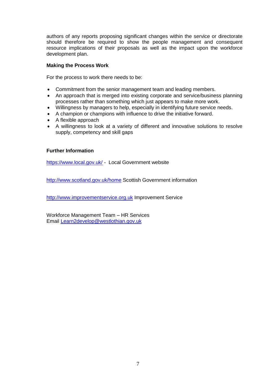authors of any reports proposing significant changes within the service or directorate should therefore be required to show the people management and consequent resource implications of their proposals as well as the impact upon the workforce development plan.

#### <span id="page-6-0"></span>**Making the Process Work**

For the process to work there needs to be:

- Commitment from the senior management team and leading members.
- An approach that is merged into existing corporate and service/business planning processes rather than something which just appears to make more work.
- Willingness by managers to help, especially in identifying future service needs.
- A champion or champions with influence to drive the initiative forward.
- A flexible approach
- A willingness to look at a variety of different and innovative solutions to resolve supply, competency and skill gaps

### <span id="page-6-1"></span>**Further Information**

<https://www.local.gov.uk/> - Local Government website

<http://www.scotland.gov.uk/home> Scottish Government information

[http://www.improvementservice.org.uk](http://www.improvementservice.org.uk/) Improvement Service

Workforce Management Team – HR Services Email [Learn2develop@westlothian.gov.uk](mailto:Learn2develop@westlothian.gov.uk)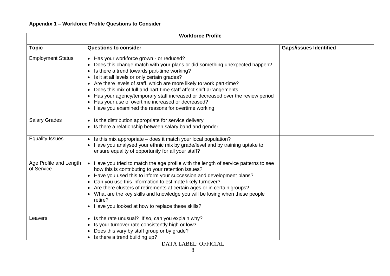## **Appendix 1 – Workforce Profile Questions to Consider**

<span id="page-7-0"></span>

| <b>Workforce Profile</b>             |                                                                                                                                                                                                                                                                                                                                                                                                                                                                                                                                                                                                                                                |                               |
|--------------------------------------|------------------------------------------------------------------------------------------------------------------------------------------------------------------------------------------------------------------------------------------------------------------------------------------------------------------------------------------------------------------------------------------------------------------------------------------------------------------------------------------------------------------------------------------------------------------------------------------------------------------------------------------------|-------------------------------|
| <b>Topic</b>                         | <b>Questions to consider</b>                                                                                                                                                                                                                                                                                                                                                                                                                                                                                                                                                                                                                   | <b>Gaps/issues Identified</b> |
| <b>Employment Status</b>             | Has your workforce grown - or reduced?<br>Does this change match with your plans or did something unexpected happen?<br>Is there a trend towards part-time working?<br>$\bullet$<br>Is it at all levels or only certain grades?<br>$\bullet$<br>Are there levels of staff, which are more likely to work part-time?<br>$\bullet$<br>Does this mix of full and part-time staff affect shift arrangements<br>$\bullet$<br>Has your agency/temporary staff increased or decreased over the review period<br>$\bullet$<br>Has your use of overtime increased or decreased?<br>٠<br>Have you examined the reasons for overtime working<br>$\bullet$ |                               |
| <b>Salary Grades</b>                 | Is the distribution appropriate for service delivery<br>$\bullet$<br>Is there a relationship between salary band and gender                                                                                                                                                                                                                                                                                                                                                                                                                                                                                                                    |                               |
| <b>Equality Issues</b>               | Is this mix appropriate – does it match your local population?<br>$\bullet$<br>Have you analysed your ethnic mix by grade/level and by training uptake to<br>$\bullet$<br>ensure equality of opportunity for all your staff?                                                                                                                                                                                                                                                                                                                                                                                                                   |                               |
| Age Profile and Length<br>of Service | Have you tried to match the age profile with the length of service patterns to see<br>$\bullet$<br>how this is contributing to your retention issues?<br>Have you used this to inform your succession and development plans?<br>$\bullet$<br>Can you use this information to estimate likely turnover?<br>$\bullet$<br>Are there clusters of retirements at certain ages or in certain groups?<br>$\bullet$<br>• What are the key skills and knowledge you will be losing when these people<br>retire?<br>• Have you looked at how to replace these skills?                                                                                    |                               |
| Leavers                              | Is the rate unusual? If so, can you explain why?<br>$\bullet$<br>Is your turnover rate consistently high or low?<br>$\bullet$<br>Does this vary by staff group or by grade?<br>$\bullet$<br>Is there a trend building up?<br>$\bullet$                                                                                                                                                                                                                                                                                                                                                                                                         |                               |

DATA LABEL: OFFICIAL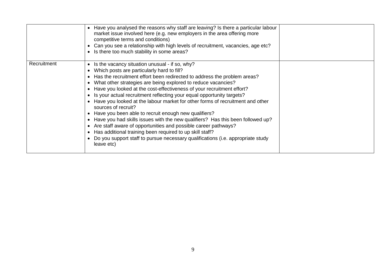|             | Have you analysed the reasons why staff are leaving? Is there a particular labour<br>$\bullet$<br>market issue involved here (e.g. new employers in the area offering more<br>competitive terms and conditions)<br>Can you see a relationship with high levels of recruitment, vacancies, age etc?<br>• Is there too much stability in some areas?                                                                                                                                                                                                                                                                                                                                                                                                                                                                                                                                                                                                             |  |
|-------------|----------------------------------------------------------------------------------------------------------------------------------------------------------------------------------------------------------------------------------------------------------------------------------------------------------------------------------------------------------------------------------------------------------------------------------------------------------------------------------------------------------------------------------------------------------------------------------------------------------------------------------------------------------------------------------------------------------------------------------------------------------------------------------------------------------------------------------------------------------------------------------------------------------------------------------------------------------------|--|
| Recruitment | Is the vacancy situation unusual - if so, why?<br>$\bullet$<br>Which posts are particularly hard to fill?<br>$\bullet$<br>Has the recruitment effort been redirected to address the problem areas?<br>What other strategies are being explored to reduce vacancies?<br>$\bullet$<br>Have you looked at the cost-effectiveness of your recruitment effort?<br>$\bullet$<br>• Is your actual recruitment reflecting your equal opportunity targets?<br>Have you looked at the labour market for other forms of recruitment and other<br>sources of recruit?<br>Have you been able to recruit enough new qualifiers?<br>• Have you had skills issues with the new qualifiers? Has this been followed up?<br>Are staff aware of opportunities and possible career pathways?<br>$\bullet$<br>Has additional training been required to up skill staff?<br>$\bullet$<br>Do you support staff to pursue necessary qualifications (i.e. appropriate study<br>leave etc) |  |